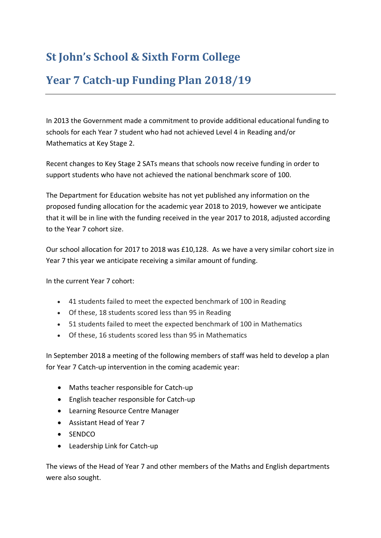## **St John's School & Sixth Form College**

## **Year 7 Catch-up Funding Plan 2018/19**

In 2013 the Government made a commitment to provide additional educational funding to schools for each Year 7 student who had not achieved Level 4 in Reading and/or Mathematics at Key Stage 2.

Recent changes to Key Stage 2 SATs means that schools now receive funding in order to support students who have not achieved the national benchmark score of 100.

The Department for Education website has not yet published any information on the proposed funding allocation for the academic year 2018 to 2019, however we anticipate that it will be in line with the funding received in the year 2017 to 2018, adjusted according to the Year 7 cohort size.

Our school allocation for 2017 to 2018 was £10,128. As we have a very similar cohort size in Year 7 this year we anticipate receiving a similar amount of funding.

In the current Year 7 cohort:

- 41 students failed to meet the expected benchmark of 100 in Reading
- Of these, 18 students scored less than 95 in Reading
- 51 students failed to meet the expected benchmark of 100 in Mathematics
- Of these, 16 students scored less than 95 in Mathematics

In September 2018 a meeting of the following members of staff was held to develop a plan for Year 7 Catch-up intervention in the coming academic year:

- Maths teacher responsible for Catch-up
- English teacher responsible for Catch-up
- Learning Resource Centre Manager
- Assistant Head of Year 7
- SENDCO
- Leadership Link for Catch-up

The views of the Head of Year 7 and other members of the Maths and English departments were also sought.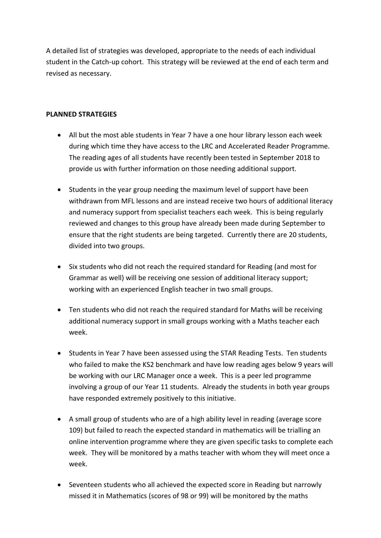A detailed list of strategies was developed, appropriate to the needs of each individual student in the Catch-up cohort. This strategy will be reviewed at the end of each term and revised as necessary.

## **PLANNED STRATEGIES**

- All but the most able students in Year 7 have a one hour library lesson each week during which time they have access to the LRC and Accelerated Reader Programme. The reading ages of all students have recently been tested in September 2018 to provide us with further information on those needing additional support.
- Students in the year group needing the maximum level of support have been withdrawn from MFL lessons and are instead receive two hours of additional literacy and numeracy support from specialist teachers each week. This is being regularly reviewed and changes to this group have already been made during September to ensure that the right students are being targeted. Currently there are 20 students, divided into two groups.
- Six students who did not reach the required standard for Reading (and most for Grammar as well) will be receiving one session of additional literacy support; working with an experienced English teacher in two small groups.
- Ten students who did not reach the required standard for Maths will be receiving additional numeracy support in small groups working with a Maths teacher each week.
- Students in Year 7 have been assessed using the STAR Reading Tests. Ten students who failed to make the KS2 benchmark and have low reading ages below 9 years will be working with our LRC Manager once a week. This is a peer led programme involving a group of our Year 11 students. Already the students in both year groups have responded extremely positively to this initiative.
- A small group of students who are of a high ability level in reading (average score 109) but failed to reach the expected standard in mathematics will be trialling an online intervention programme where they are given specific tasks to complete each week. They will be monitored by a maths teacher with whom they will meet once a week.
- Seventeen students who all achieved the expected score in Reading but narrowly missed it in Mathematics (scores of 98 or 99) will be monitored by the maths